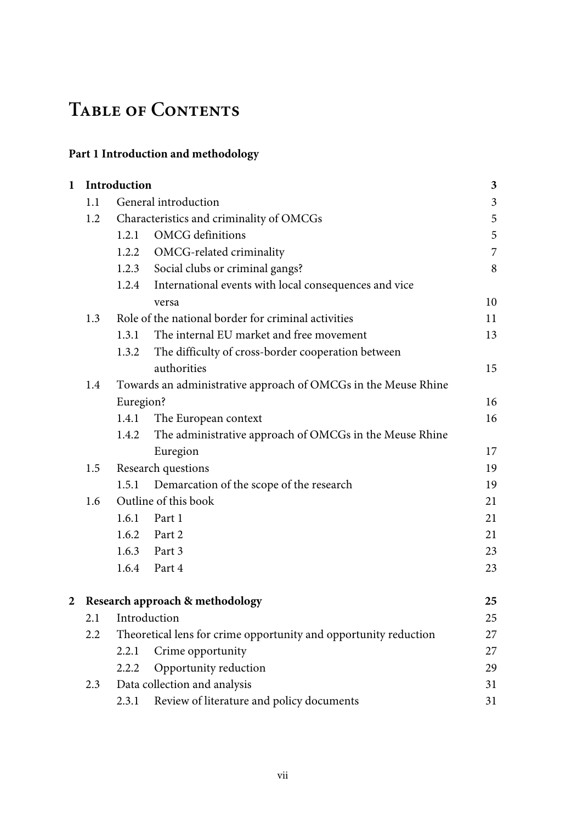# **Table of Contents**

## **Part 1 Introduction and methodology**

| $\mathbf{1}$ |     | Introduction                                                     |                                                                | $\mathbf{3}$            |  |
|--------------|-----|------------------------------------------------------------------|----------------------------------------------------------------|-------------------------|--|
|              | 1.1 |                                                                  | General introduction                                           | $\overline{\mathbf{3}}$ |  |
|              | 1.2 |                                                                  | Characteristics and criminality of OMCGs                       | 5                       |  |
|              |     | 1.2.1                                                            | OMCG definitions                                               | 5                       |  |
|              |     | 1.2.2                                                            | OMCG-related criminality                                       | 7                       |  |
|              |     | 1.2.3                                                            | Social clubs or criminal gangs?                                | 8                       |  |
|              |     | 1.2.4                                                            | International events with local consequences and vice          |                         |  |
|              |     |                                                                  | versa                                                          | 10                      |  |
|              | 1.3 |                                                                  | Role of the national border for criminal activities            | 11                      |  |
|              |     | 1.3.1                                                            | The internal EU market and free movement                       | 13                      |  |
|              |     | 1.3.2                                                            | The difficulty of cross-border cooperation between             |                         |  |
|              |     |                                                                  | authorities                                                    | 15                      |  |
|              | 1.4 |                                                                  | Towards an administrative approach of OMCGs in the Meuse Rhine |                         |  |
|              |     | Euregion?                                                        |                                                                | 16                      |  |
|              |     | 1.4.1                                                            | The European context                                           | 16                      |  |
|              |     | 1.4.2                                                            | The administrative approach of OMCGs in the Meuse Rhine        |                         |  |
|              |     |                                                                  | Euregion                                                       | 17                      |  |
|              | 1.5 |                                                                  | Research questions                                             | 19                      |  |
|              |     | 1.5.1                                                            | Demarcation of the scope of the research                       | 19                      |  |
|              | 1.6 | Outline of this book                                             |                                                                |                         |  |
|              |     |                                                                  | 1.6.1 Part 1                                                   | 21                      |  |
|              |     |                                                                  | 1.6.2 Part 2                                                   | 21                      |  |
|              |     |                                                                  | 1.6.3 Part 3                                                   | 23                      |  |
|              |     |                                                                  | 1.6.4 Part 4                                                   | 23                      |  |
| 2            |     |                                                                  | Research approach & methodology                                | 25                      |  |
|              | 2.1 |                                                                  | Introduction                                                   | 25                      |  |
|              | 2.2 | Theoretical lens for crime opportunity and opportunity reduction |                                                                | 27                      |  |
|              |     | 2.2.1                                                            | Crime opportunity                                              | 27                      |  |
|              |     | 2.2.2                                                            | Opportunity reduction                                          | 29                      |  |
|              | 2.3 |                                                                  | Data collection and analysis                                   | 31                      |  |
|              |     | 2.3.1                                                            | Review of literature and policy documents                      | 31                      |  |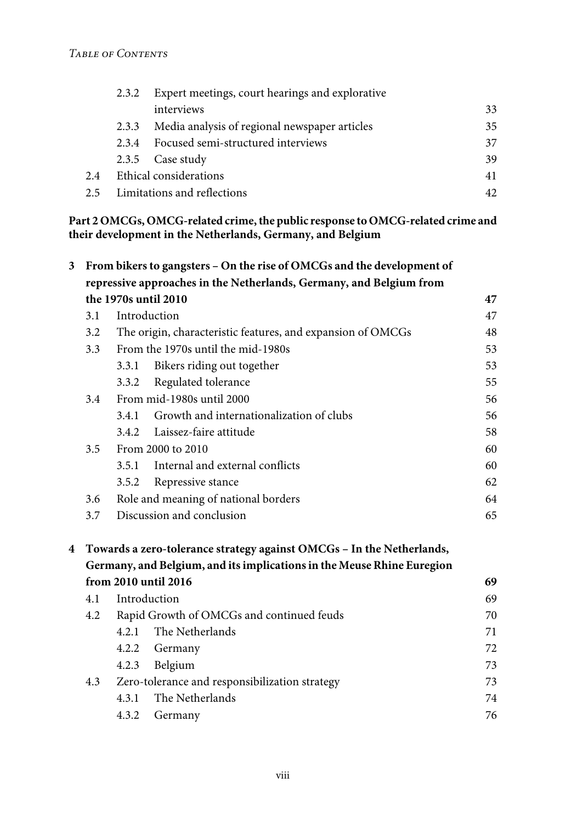|     | Expert meetings, court hearings and explorative<br>2.3.2 |                                               |    |  |
|-----|----------------------------------------------------------|-----------------------------------------------|----|--|
|     |                                                          | interviews                                    | 33 |  |
|     | 2.3.3                                                    | Media analysis of regional newspaper articles | 35 |  |
|     | 2.3.4                                                    | Focused semi-structured interviews            | 37 |  |
|     |                                                          | 2.3.5 Case study                              | 39 |  |
| 2.4 |                                                          | Ethical considerations<br>41                  |    |  |
| 2.5 | Limitations and reflections                              |                                               | 42 |  |

#### **Part 2OMCGs,OMCG-related crime,the public response toOMCG-related crime and their development in the Netherlands, Germany, and Belgium**

| 3 | From bikers to gangsters - On the rise of OMCGs and the development of<br>repressive approaches in the Netherlands, Germany, and Belgium from |                           |                                                                        |    |  |  |
|---|-----------------------------------------------------------------------------------------------------------------------------------------------|---------------------------|------------------------------------------------------------------------|----|--|--|
|   |                                                                                                                                               |                           | the 1970s until 2010                                                   | 47 |  |  |
|   | 3.1                                                                                                                                           |                           | Introduction                                                           | 47 |  |  |
|   | The origin, characteristic features, and expansion of OMCGs<br>3.2                                                                            |                           | 48                                                                     |    |  |  |
|   | From the 1970s until the mid-1980s<br>3.3                                                                                                     |                           |                                                                        | 53 |  |  |
|   |                                                                                                                                               | 3.3.1                     | Bikers riding out together                                             | 53 |  |  |
|   |                                                                                                                                               | 3.3.2                     | Regulated tolerance                                                    | 55 |  |  |
|   | 3.4                                                                                                                                           |                           | From mid-1980s until 2000                                              | 56 |  |  |
|   |                                                                                                                                               | 3.4.1                     | Growth and internationalization of clubs                               | 56 |  |  |
|   |                                                                                                                                               | 3.4.2                     | Laissez-faire attitude                                                 | 58 |  |  |
|   | 3.5                                                                                                                                           |                           | From 2000 to 2010                                                      | 60 |  |  |
|   |                                                                                                                                               | 3.5.1                     | Internal and external conflicts                                        | 60 |  |  |
|   |                                                                                                                                               | 3.5.2                     | Repressive stance                                                      | 62 |  |  |
|   | 3.6                                                                                                                                           |                           | Role and meaning of national borders                                   | 64 |  |  |
|   | 3.7                                                                                                                                           | Discussion and conclusion |                                                                        |    |  |  |
| 4 |                                                                                                                                               |                           | Towards a zero-tolerance strategy against OMCGs - In the Netherlands,  |    |  |  |
|   |                                                                                                                                               |                           | Germany, and Belgium, and its implications in the Meuse Rhine Euregion |    |  |  |
|   |                                                                                                                                               |                           | from 2010 until 2016                                                   | 69 |  |  |
|   | 4.1                                                                                                                                           |                           | Introduction                                                           | 69 |  |  |
|   | 4.2                                                                                                                                           |                           | Rapid Growth of OMCGs and continued feuds                              | 70 |  |  |
|   |                                                                                                                                               | 4.2.1                     | The Netherlands                                                        | 71 |  |  |
|   |                                                                                                                                               | 4.2.2                     | Germany                                                                | 72 |  |  |
|   |                                                                                                                                               | 4.2.3                     | Belgium                                                                | 73 |  |  |
|   | 4.3                                                                                                                                           |                           | Zero-tolerance and responsibilization strategy                         | 73 |  |  |
|   |                                                                                                                                               | 4.3.1                     | The Netherlands                                                        | 74 |  |  |
|   |                                                                                                                                               | 4.3.2                     | Germany                                                                | 76 |  |  |
|   |                                                                                                                                               |                           |                                                                        |    |  |  |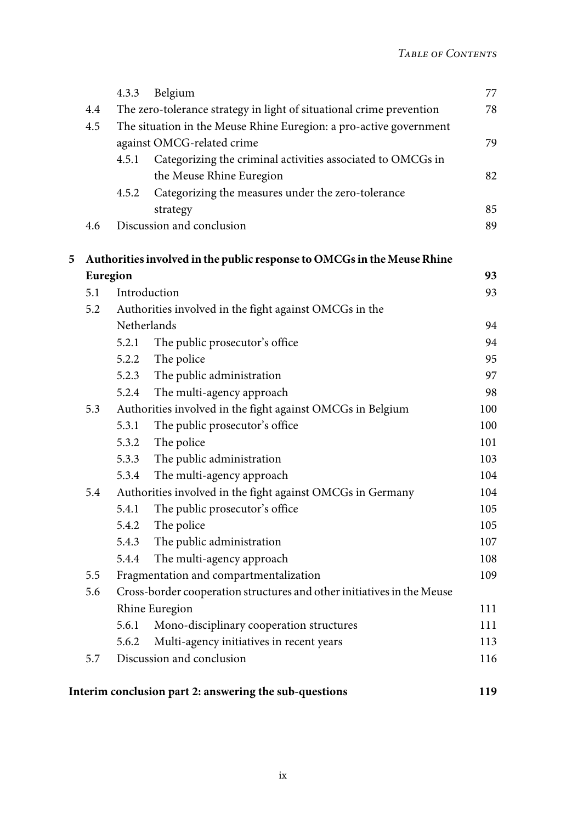|   |                                                                              | 4.3.3                                                                | Belgium                                                                 | 77  |
|---|------------------------------------------------------------------------------|----------------------------------------------------------------------|-------------------------------------------------------------------------|-----|
|   | 4.4                                                                          | The zero-tolerance strategy in light of situational crime prevention |                                                                         | 78  |
|   | 4.5                                                                          |                                                                      | The situation in the Meuse Rhine Euregion: a pro-active government      |     |
|   |                                                                              |                                                                      | against OMCG-related crime                                              | 79  |
|   |                                                                              | 4.5.1                                                                | Categorizing the criminal activities associated to OMCGs in             |     |
|   |                                                                              |                                                                      | the Meuse Rhine Euregion                                                | 82  |
|   |                                                                              | 4.5.2                                                                | Categorizing the measures under the zero-tolerance                      |     |
|   |                                                                              |                                                                      | strategy                                                                | 85  |
|   | 4.6                                                                          |                                                                      | Discussion and conclusion                                               | 89  |
| 5 |                                                                              |                                                                      | Authorities involved in the public response to OMCGs in the Meuse Rhine |     |
|   |                                                                              | Euregion                                                             |                                                                         | 93  |
|   | 5.1                                                                          |                                                                      | Introduction                                                            | 93  |
|   | 5.2<br>Authorities involved in the fight against OMCGs in the<br>Netherlands |                                                                      |                                                                         |     |
|   |                                                                              |                                                                      |                                                                         | 94  |
|   |                                                                              | 5.2.1                                                                | The public prosecutor's office                                          | 94  |
|   |                                                                              | 5.2.2                                                                | The police                                                              | 95  |
|   |                                                                              | 5.2.3                                                                | The public administration                                               | 97  |
|   |                                                                              | 5.2.4                                                                | The multi-agency approach                                               | 98  |
|   | 5.3                                                                          |                                                                      | Authorities involved in the fight against OMCGs in Belgium              | 100 |
|   |                                                                              | 5.3.1                                                                | The public prosecutor's office                                          | 100 |
|   |                                                                              | 5.3.2                                                                | The police                                                              | 101 |
|   |                                                                              | 5.3.3                                                                | The public administration                                               | 103 |
|   |                                                                              | 5.3.4                                                                | The multi-agency approach                                               | 104 |
|   | 5.4                                                                          |                                                                      | Authorities involved in the fight against OMCGs in Germany              | 104 |
|   |                                                                              | 5.4.1                                                                | The public prosecutor's office                                          | 105 |
|   |                                                                              | 5.4.2                                                                | The police                                                              | 105 |
|   |                                                                              | 5.4.3                                                                | The public administration                                               | 107 |
|   |                                                                              | 5.4.4                                                                | The multi-agency approach                                               | 108 |
|   | 5.5                                                                          |                                                                      | Fragmentation and compartmentalization                                  | 109 |
|   | 5.6                                                                          |                                                                      | Cross-border cooperation structures and other initiatives in the Meuse  |     |
|   |                                                                              |                                                                      | Rhine Euregion                                                          | 111 |
|   |                                                                              | 5.6.1                                                                | Mono-disciplinary cooperation structures                                | 111 |
|   |                                                                              | 5.6.2                                                                | Multi-agency initiatives in recent years                                | 113 |
|   | 5.7                                                                          |                                                                      | Discussion and conclusion                                               | 116 |
|   |                                                                              |                                                                      | Interim conclusion part 2: answering the sub-questions                  | 119 |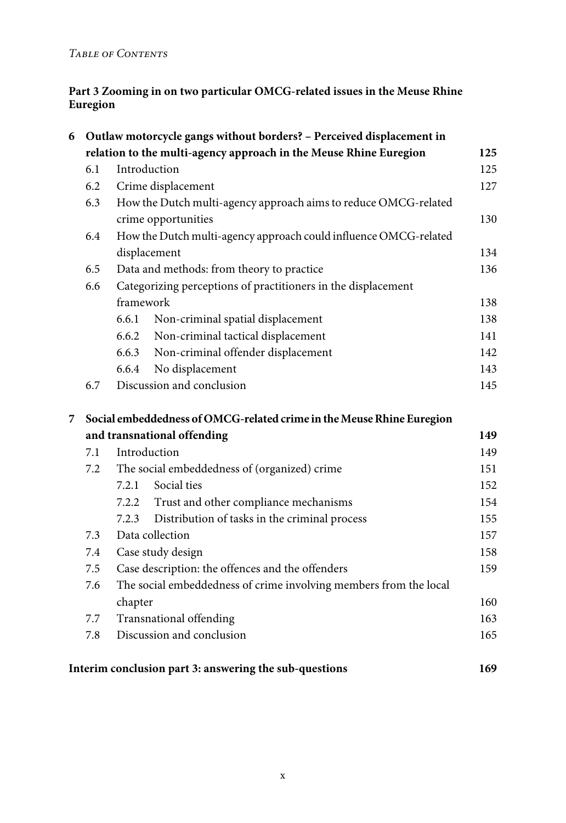### **Part 3 Zooming in on two particular OMCG-related issues in the Meuse Rhine Euregion**

| 6 | Outlaw motorcycle gangs without borders? - Perceived displacement in |                                                                   |                                                                       |     |  |  |
|---|----------------------------------------------------------------------|-------------------------------------------------------------------|-----------------------------------------------------------------------|-----|--|--|
|   | relation to the multi-agency approach in the Meuse Rhine Euregion    |                                                                   |                                                                       |     |  |  |
|   | 6.1                                                                  |                                                                   | Introduction                                                          | 125 |  |  |
|   | 6.2                                                                  | Crime displacement                                                |                                                                       | 127 |  |  |
|   | 6.3                                                                  |                                                                   | How the Dutch multi-agency approach aims to reduce OMCG-related       |     |  |  |
|   |                                                                      |                                                                   | crime opportunities                                                   | 130 |  |  |
|   | 6.4                                                                  |                                                                   | How the Dutch multi-agency approach could influence OMCG-related      |     |  |  |
|   |                                                                      |                                                                   | displacement                                                          | 134 |  |  |
|   | 6.5                                                                  |                                                                   | Data and methods: from theory to practice                             | 136 |  |  |
|   | Categorizing perceptions of practitioners in the displacement<br>6.6 |                                                                   |                                                                       |     |  |  |
|   |                                                                      | framework                                                         |                                                                       | 138 |  |  |
|   |                                                                      | 6.6.1                                                             | Non-criminal spatial displacement                                     | 138 |  |  |
|   |                                                                      | 6.6.2                                                             | Non-criminal tactical displacement                                    | 141 |  |  |
|   |                                                                      | 6.6.3                                                             | Non-criminal offender displacement                                    | 142 |  |  |
|   |                                                                      | 6.6.4                                                             | No displacement                                                       | 143 |  |  |
|   | 6.7                                                                  |                                                                   | Discussion and conclusion                                             | 145 |  |  |
| 7 |                                                                      |                                                                   | Social embeddedness of OMCG-related crime in the Meuse Rhine Euregion |     |  |  |
|   |                                                                      |                                                                   |                                                                       | 149 |  |  |
|   | 7.1                                                                  | and transnational offending<br>Introduction                       |                                                                       |     |  |  |
|   | 7.2                                                                  | The social embeddedness of (organized) crime                      |                                                                       | 151 |  |  |
|   |                                                                      | 7.2.1                                                             | Social ties                                                           | 152 |  |  |
|   |                                                                      | 7.2.2                                                             | Trust and other compliance mechanisms                                 | 154 |  |  |
|   |                                                                      | 7.2.3                                                             | Distribution of tasks in the criminal process                         | 155 |  |  |
|   | 7.3                                                                  |                                                                   | Data collection                                                       | 157 |  |  |
|   | 7.4                                                                  |                                                                   | Case study design                                                     | 158 |  |  |
|   | 7.5                                                                  | Case description: the offences and the offenders                  |                                                                       | 159 |  |  |
|   | 7.6                                                                  | The social embeddedness of crime involving members from the local |                                                                       |     |  |  |
|   |                                                                      | chapter                                                           |                                                                       | 160 |  |  |
|   | 7.7                                                                  |                                                                   | Transnational offending                                               | 163 |  |  |
|   | 7.8                                                                  |                                                                   | Discussion and conclusion                                             | 165 |  |  |
|   |                                                                      |                                                                   |                                                                       |     |  |  |
|   |                                                                      |                                                                   | Interim conclusion part 3: answering the sub-questions                | 169 |  |  |